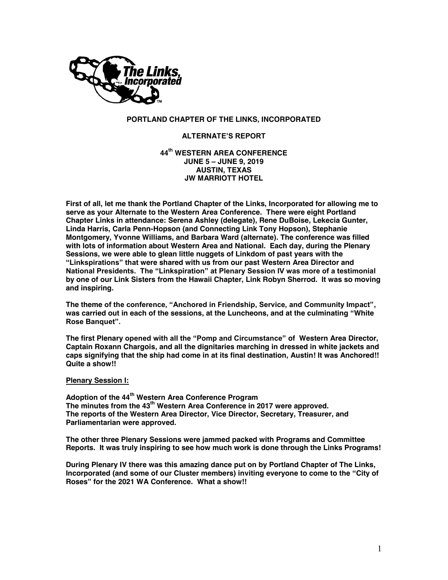

## **PORTLAND CHAPTER OF THE LINKS, INCORPORATED**

### **ALTERNATE'S REPORT**

### **44th WESTERN AREA CONFERENCE JUNE 5 – JUNE 9, 2019 AUSTIN, TEXAS JW MARRIOTT HOTEL**

**First of all, let me thank the Portland Chapter of the Links, Incorporated for allowing me to serve as your Alternate to the Western Area Conference. There were eight Portland Chapter Links in attendance: Serena Ashley (delegate), Rene DuBoise, Lekecia Gunter, Linda Harris, Carla Penn-Hopson (and Connecting Link Tony Hopson), Stephanie Montgomery, Yvonne Williams, and Barbara Ward (alternate). The conference was filled with lots of information about Western Area and National. Each day, during the Plenary Sessions, we were able to glean little nuggets of Linkdom of past years with the "Linkspirations" that were shared with us from our past Western Area Director and National Presidents. The "Linkspiration" at Plenary Session IV was more of a testimonial by one of our Link Sisters from the Hawaii Chapter, Link Robyn Sherrod. It was so moving and inspiring.** 

**The theme of the conference, "Anchored in Friendship, Service, and Community Impact", was carried out in each of the sessions, at the Luncheons, and at the culminating "White Rose Banquet".** 

**The first Plenary opened with all the "Pomp and Circumstance" of Western Area Director, Captain Roxann Chargois, and all the dignitaries marching in dressed in white jackets and caps signifying that the ship had come in at its final destination, Austin! It was Anchored!! Quite a show!!** 

## **Plenary Session I:**

**Adoption of the 44th Western Area Conference Program The minutes from the 43th Western Area Conference in 2017 were approved. The reports of the Western Area Director, Vice Director, Secretary, Treasurer, and Parliamentarian were approved.** 

**The other three Plenary Sessions were jammed packed with Programs and Committee Reports. It was truly inspiring to see how much work is done through the Links Programs!**

**During Plenary IV there was this amazing dance put on by Portland Chapter of The Links, Incorporated (and some of our Cluster members) inviting everyone to come to the "City of Roses" for the 2021 WA Conference. What a show!!**